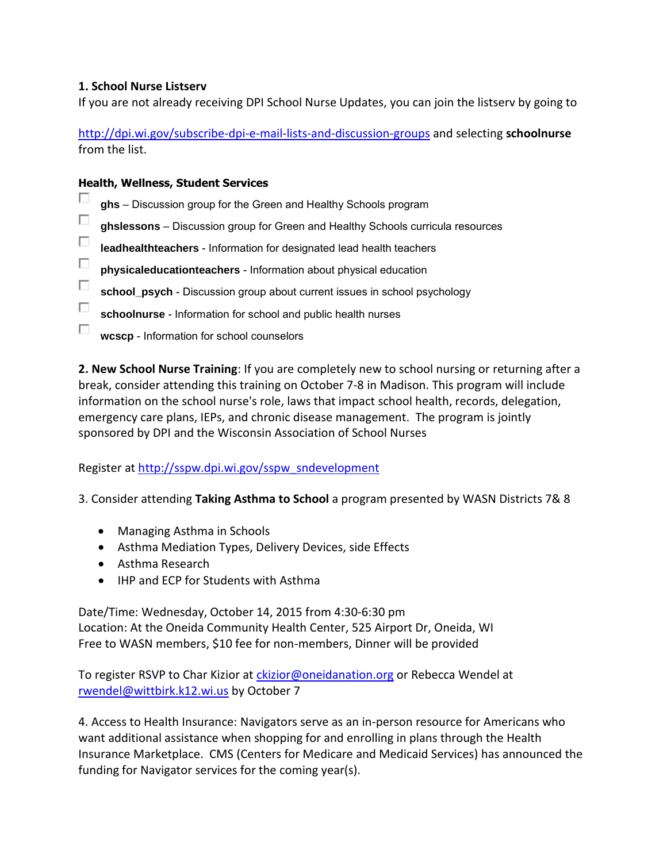## **1. School Nurse Listserv**

If you are not already receiving DPI School Nurse Updates, you can join the listserv by going to

<http://dpi.wi.gov/subscribe-dpi-e-mail-lists-and-discussion-groups>and selecting **schoolnurse** from the list.

## **Health, Wellness, Student Services**

- П **ghs** – Discussion group for the Green and Healthy Schools program
- П **ghslessons** – Discussion group for Green and Healthy Schools curricula resources
- П **leadhealthteachers** - Information for designated lead health teachers
- $\Box$ **physicaleducationteachers** - Information about physical education
- П **school\_psych** - Discussion group about current issues in school psychology
- П **schoolnurse** - Information for school and public health nurses
- П. **wcscp** - Information for school counselors

**2. New School Nurse Training**: If you are completely new to school nursing or returning after a break, consider attending this training on October 7-8 in Madison. This program will include information on the school nurse's role, laws that impact school health, records, delegation, emergency care plans, IEPs, and chronic disease management. The program is jointly sponsored by DPI and the Wisconsin Association of School Nurses

Register at [http://sspw.dpi.wi.gov/sspw\\_sndevelopment](http://sspw.dpi.wi.gov/sspw_sndevelopment)

3. Consider attending **Taking Asthma to School** a program presented by WASN Districts 7& 8

- Managing Asthma in Schools
- Asthma Mediation Types, Delivery Devices, side Effects
- Asthma Research
- IHP and ECP for Students with Asthma

Date/Time: Wednesday, October 14, 2015 from 4:30-6:30 pm Location: At the Oneida Community Health Center, 525 Airport Dr, Oneida, WI Free to WASN members, \$10 fee for non-members, Dinner will be provided

To register RSVP to Char Kizior at [ckizior@oneidanation.org](mailto:ckizior@oneidanation.org) or Rebecca Wendel at [rwendel@wittbirk.k12.wi.us](mailto:rwendel@wittbirk.k12.wi.us) by October 7

4. Access to Health Insurance: Navigators serve as an in-person resource for Americans who want additional assistance when shopping for and enrolling in plans through the Health Insurance Marketplace. CMS (Centers for Medicare and Medicaid Services) has announced the funding for Navigator services for the coming year(s).